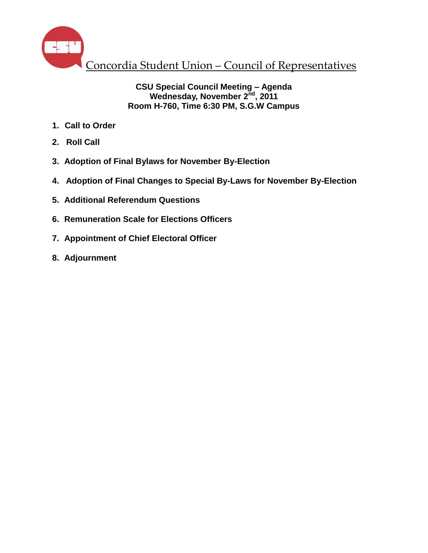

## **CSU Special Council Meeting – Agenda Wednesday, November 2nd, 2011 Room H-760, Time 6:30 PM, S.G.W Campus**

- **1. Call to Order**
- **2. Roll Call**
- **3. Adoption of Final Bylaws for November By-Election**
- **4. Adoption of Final Changes to Special By-Laws for November By-Election**
- **5. Additional Referendum Questions**
- **6. Remuneration Scale for Elections Officers**
- **7. Appointment of Chief Electoral Officer**
- **8. Adjournment**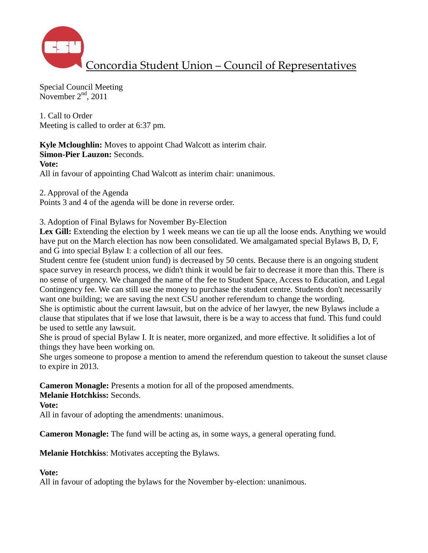

Special Council Meeting November  $2<sup>nd</sup>$ , 2011

1. Call to Order Meeting is called to order at 6:37 pm.

**Kyle Mcloughlin:** Moves to appoint Chad Walcott as interim chair. **Simon-Pier Lauzon:** Seconds.

**Vote:**

All in favour of appointing Chad Walcott as interim chair: unanimous.

2. Approval of the Agenda

Points 3 and 4 of the agenda will be done in reverse order.

3. Adoption of Final Bylaws for November By-Election

Lex Gill: Extending the election by 1 week means we can tie up all the loose ends. Anything we would have put on the March election has now been consolidated. We amalgamated special Bylaws B, D, F, and G into special Bylaw I: a collection of all our fees.

Student centre fee (student union fund) is decreased by 50 cents. Because there is an ongoing student space survey in research process, we didn't think it would be fair to decrease it more than this. There is no sense of urgency. We changed the name of the fee to Student Space, Access to Education, and Legal Contingency fee. We can still use the money to purchase the student centre. Students don't necessarily want one building; we are saving the next CSU another referendum to change the wording.

She is optimistic about the current lawsuit, but on the advice of her lawyer, the new Bylaws include a clause that stipulates that if we lose that lawsuit, there is be a way to access that fund. This fund could be used to settle any lawsuit.

She is proud of special Bylaw I. It is neater, more organized, and more effective. It solidifies a lot of things they have been working on.

She urges someone to propose a mention to amend the referendum question to takeout the sunset clause to expire in 2013.

**Cameron Monagle:** Presents a motion for all of the proposed amendments.

**Melanie Hotchkiss:** Seconds.

**Vote:**

All in favour of adopting the amendments: unanimous.

**Cameron Monagle:** The fund will be acting as, in some ways, a general operating fund.

**Melanie Hotchkiss**: Motivates accepting the Bylaws.

## **Vote:**

All in favour of adopting the bylaws for the November by-election: unanimous.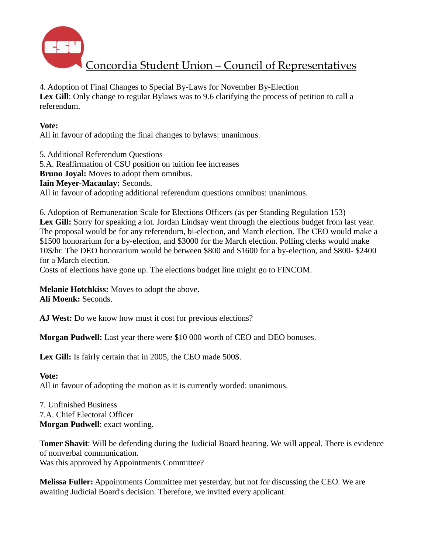

Concordia Student Union – Council of Representatives

4. Adoption of Final Changes to Special By-Laws for November By-Election Lex Gill: Only change to regular Bylaws was to 9.6 clarifying the process of petition to call a referendum.

## **Vote:**

All in favour of adopting the final changes to bylaws: unanimous.

5. Additional Referendum Questions 5.A. Reaffirmation of CSU position on tuition fee increases **Bruno Joyal:** Moves to adopt them omnibus. **Iain Meyer-Macaulay:** Seconds. All in favour of adopting additional referendum questions omnibus: unanimous.

6. Adoption of Remuneration Scale for Elections Officers (as per Standing Regulation 153) Lex Gill: Sorry for speaking a lot. Jordan Lindsay went through the elections budget from last year. The proposal would be for any referendum, bi-election, and March election. The CEO would make a \$1500 honorarium for a by-election, and \$3000 for the March election. Polling clerks would make 10\$/hr. The DEO honorarium would be between \$800 and \$1600 for a by-election, and \$800- \$2400 for a March election.

Costs of elections have gone up. The elections budget line might go to FINCOM.

**Melanie Hotchkiss:** Moves to adopt the above. **Ali Moenk:** Seconds.

**AJ West:** Do we know how must it cost for previous elections?

**Morgan Pudwell:** Last year there were \$10 000 worth of CEO and DEO bonuses.

**Lex Gill:** Is fairly certain that in 2005, the CEO made 500\$.

## **Vote:**

All in favour of adopting the motion as it is currently worded: unanimous.

7. Unfinished Business 7.A. Chief Electoral Officer **Morgan Pudwell**: exact wording.

**Tomer Shavit**: Will be defending during the Judicial Board hearing. We will appeal. There is evidence of nonverbal communication. Was this approved by Appointments Committee?

**Melissa Fuller:** Appointments Committee met yesterday, but not for discussing the CEO. We are awaiting Judicial Board's decision. Therefore, we invited every applicant.